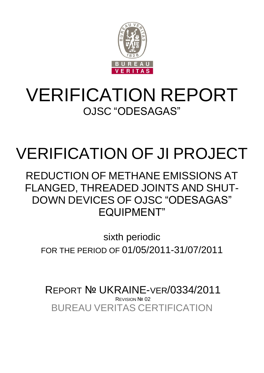

## VERIFICATION REPORT OJSC "ODESAGAS"

# VERIFICATION OF JI PROJECT

REDUCTION OF METHANE EMISSIONS AT FLANGED, THREADED JOINTS AND SHUT-DOWN DEVICES OF OJSC "ODESAGAS" EQUIPMENT"

sixth periodic FOR THE PERIOD OF 01/05/2011-31/07/2011

BUREAU VERITAS CERTIFICATION REPORT № UKRAINE-VER/0334/2011 **REVISION Nº 02**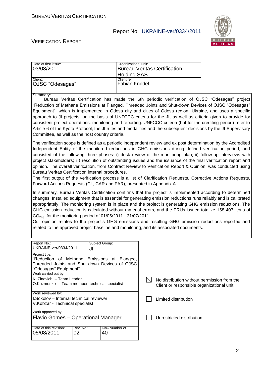

#### VERIFICATION REPORT

| Date of first issue: | Organizational unit:         |
|----------------------|------------------------------|
| 03/08/2011           | Bureau Veritas Certification |
|                      | <b>Holding SAS</b>           |
| Client:              | Client ref.:                 |
| OJSC "Odesagas"      | <b>Fabian Knodel</b>         |
|                      |                              |

Summary:

Bureau Veritas Certification has made the 6th periodic verification of OJSC "Odesagas" project "Reduction of Methane Emissions at Flanged, Threaded Joints and Shut-down Devices of OJSC "Odesagas" Equipment", which is implemented in Odesa city and cities of Odesa region, Ukraine, and uses a specific approach to JI projects, on the basis of UNFCCC criteria for the JI, as well as criteria given to provide for consistent project operations, monitoring and reporting. UNFCCC criteria (but for the crediting period) refer to Article 6 of the Kyoto Protocol, the JI rules and modalities and the subsequent decisions by the JI Supervisory Committee, as well as the host country criteria.

The verification scope is defined as a periodic independent review and ex post determination by the Accredited Independent Entity of the monitored reductions in GHG emissions during defined verification period, and consisted of the following three phases: i) desk review of the monitoring plan; ii) follow-up interviews with project stakeholders; iii) resolution of outstanding issues and the issuance of the final verification report and opinion. The overall verification, from Contract Review to Verification Report & Opinion, was conducted using Bureau Veritas Certification internal procedures.

The first output of the verification process is a list of Clarification Requests, Corrective Actions Requests, Forward Actions Requests (CL, CAR and FAR), presented in Appendix A.

In summary, Bureau Veritas Certification confirms that the project is implemented according to determined changes. Installed equipment that is essential for generating emission reductions runs reliably and is calibrated appropriately. The monitoring system is in place and the project is generating GHG emission reductions. The GHG emission reduction is calculated without material errors, and the ERUs issued totalize 158 407 tons of  $CO<sub>2ea</sub>$  for the monitoring period of 01/05/2011 - 31/07/2011.

Our opinion relates to the project's GHG emissions and resulting GHG emission reductions reported and related to the approved project baseline and monitoring, and its associated documents.

| Report No.:                                                   |           | Subject Group: |                                             |
|---------------------------------------------------------------|-----------|----------------|---------------------------------------------|
| UKRAINE-ver/0334/2011                                         | JI        |                |                                             |
| Project title:<br>"Reduction of Methane Emissions at Flanged, |           |                |                                             |
| Threaded Joints and Shut-down Devices of OJSC                 |           |                |                                             |
|                                                               |           |                |                                             |
| "Odesagas" Equipment"                                         |           |                |                                             |
| Work carried out by:                                          |           |                |                                             |
| K. Zinevich - Team Leader                                     |           |                | No distribution without permission from the |
| O.Kuzmenko - Team member, technical specialist                |           |                | Client or responsible organizational unit   |
|                                                               |           |                |                                             |
| Work reviewed by:                                             |           |                |                                             |
| I.Sokolov – Internal technical reviewer                       |           |                | Limited distribution                        |
| V.Kobzar - Technical specialist                               |           |                |                                             |
|                                                               |           |                |                                             |
| Work approved by:                                             |           |                |                                             |
| Flavio Gomes – Operational Manager                            |           |                | Unrestricted distribution                   |
|                                                               |           |                |                                             |
| Date of this revision:                                        | Rev. No.: | Кіль Number of |                                             |
| 05/08/2011                                                    | 02        | 40             |                                             |
|                                                               |           |                |                                             |
|                                                               |           |                |                                             |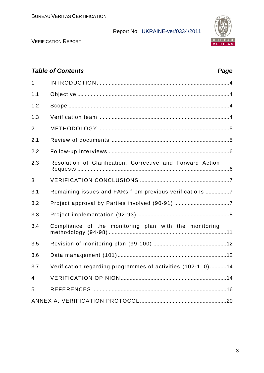

VERIFICATION REPORT

## *Table of Contents Page* 1 INTRODUCTION .........................................................................................4 1.1 Objective ......................................................................................................4 1.2 Scope ............................................................................................................4 1.3 Verification team ........................................................................................4 2 METHODOLOGY ........................................................................................5 2.1 Review of documents ................................................................................5 2.2 Follow-up interviews .................................................................................6 2.3 Resolution of Сlarification, Сorrective and Forward Action Requests ......................................................................................................6 3 VERIFICATION CONCLUSIONS ............................................................7 3.1 Remaining issues and FARs from previous verifications ................7 3.2 Project approval by Parties involved (90-91) .....................................7 3.3 Project implementation (92-93) ..............................................................8 3.4 Compliance of the monitoring plan with the monitoring methodology (94-98) ...............................................................................11 3.5 Revision of monitoring plan (99-100) .................................................12 3.6 Data management (101).........................................................................12 3.7 Verification regarding programmes of activities (102-110) ...........14 4 VERIFICATION OPINION .......................................................................14 5 REFERENCES ..........................................................................................16 ANNEX A: VERIFICATION PROTOCOL ..........................................................20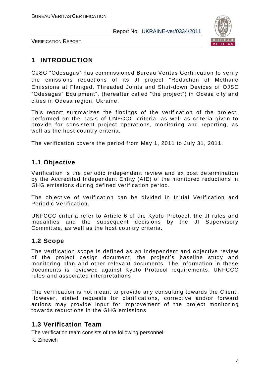

VERIFICATION REPORT

## **1 INTRODUCTION**

OJSC "Odesagas" has commissioned Bureau Veritas Certification to verify the emissions reductions of its JI project "Reduction of Methane Emissions at Flanged, Threaded Joints and Shut-down Devices of OJSC "Odesagas" Equipment", (hereafter called "the project") in Odesa city and cities in Odesa region, Ukraine.

This report summarizes the findings of the verification of the project, performed on the basis of UNFCCC criteria, as well as criteria given to provide for consistent project operations, monitoring and reporting, as well as the host country criteria.

The verification covers the period from May 1, 2011 to July 31, 2011.

## **1.1 Objective**

Verification is the periodic independent review and ex post determination by the Accredited Independent Entity (AIE) of the monitored reductions in GHG emissions during defined verification period.

The objective of verification can be divided in Initial Verification and Periodic Verification.

UNFCCC criteria refer to Article 6 of the Kyoto Protocol, the JI rules and modalities and the subsequent decisions by the JI Supervisory Committee, as well as the host country criteria.

## **1.2 Scope**

The verification scope is defined as an independent and objective review of the project design document, the project's baseline study and monitoring plan and other relevant documents. The information in these documents is reviewed against Kyoto Protocol requirements, UNFCCC rules and associated interpretations.

The verification is not meant to provide any consulting towards the Client. However, stated requests for clarifications, corrective and/or forward actions may provide input for improvement of the project monitoring towards reductions in the GHG emissions.

## **1.3 Verification Team**

The verification team consists of the following personnel:

K. Zinevich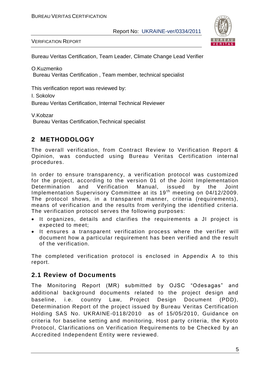

VERIFICATION REPORT

Bureau Veritas Certification, Team Leader, Climate Change Lead Verifier

O.Kuzmenko Bureau Veritas Certification , Team member, technical specialist

This verification report was reviewed by:

I. Sokolov

Bureau Veritas Certification, Internal Technical Reviewer

V.Kobzar Bureau Veritas Certification,Technical specialist

## **2 METHODOLOGY**

The overall verification, from Contract Review to Verification Report & Opinion, was conducted using Bureau Veritas Certification internal procedures.

In order to ensure transparency, a verification protocol was customized for the project, according to the version 01 of the Joint Implementation Determination and Verification Manual, issued by the Joint Implementation Supervisory Committee at its 19<sup>th</sup> meeting on 04/12/2009. The protocol shows, in a transparent manner, criteria (requirements), means of verification and the results from verifying the identified criteria. The verification protocol serves the following purposes:

- It organizes, details and clarifies the requirements a JI project is expected to meet;
- It ensures a transparent verification process where the verifier will document how a particular requirement has been verified and the result of the verification.

The completed verification protocol is enclosed in Appendix A to this report.

## **2.1 Review of Documents**

The Monitoring Report (MR) submitted by OJSC "Odesagas" and additional background documents related to the project design and baseline, i.e. country Law, Project Design Document (PDD), Determination Report of the project issued by Bureau Veritas Certification Holding SAS No. UKRAINE-0118/2010 as of 15/05/2010, Guidance on criteria for baseline setting and monitoring, Host party criteria, the Kyoto Protocol, Clarifications on Verification Requirements to be Checked by an Accredited Independent Entity were reviewed.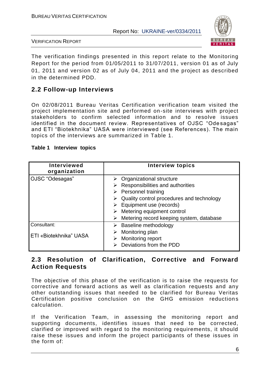

VERIFICATION REPORT

The verification findings presented in this report relate to the Monitoring Report for the period from 01/05/2011 to 31/07/2011, version 01 as of July 01, 2011 and version 02 as of July 04, 2011 and the project as described in the determined PDD.

## **2.2 Follow-up Interviews**

On 02/08/2011 Bureau Veritas Certification verification team visited the project implementation site and performed on-site interviews with project stakeholders to confirm selected information and to resolve issues identified in the document review. Representatives of OJSC "Ode sagas" and ETI "Biotekhnika" UASA were interviewed (see References). The main topics of the interviews are summarized in Table 1.

| Table 1 Interview topics |  |  |  |
|--------------------------|--|--|--|
|--------------------------|--|--|--|

| <b>Interviewed</b><br>organization    | <b>Interview topics</b>                                                                                                                                                                                                                                                                                |
|---------------------------------------|--------------------------------------------------------------------------------------------------------------------------------------------------------------------------------------------------------------------------------------------------------------------------------------------------------|
| OJSC "Odesagas"                       | $\triangleright$ Organizational structure<br>Responsibilities and authorities<br>➤<br>$\triangleright$ Personnel training<br>Quality control procedures and technology<br>$\triangleright$ Equipment use (records)<br>Metering equipment control<br>➤<br>Metering record keeping system, database<br>➤ |
| Consultant:<br>ETI «Biotekhnika" UASA | Baseline methodology<br>➤<br>Monitoring plan<br>Monitoring report<br>➤<br>Deviations from the PDD                                                                                                                                                                                                      |

## **2.3 Resolution of Clarification, Corrective and Forward Action Requests**

The objective of this phase of the verification is to raise the requests for corrective and forward actions as well as clarification requests and any other outstanding issues that needed to be clarified for Bureau Veritas Certification positive conclusion on the GHG emission reductions calculation.

If the Verification Team, in assessing the monitoring report and supporting documents, identifies issues that need to be corrected, clarified or improved with regard to the monitoring requirements, it should raise these issues and inform the project participants of these issues in the form of: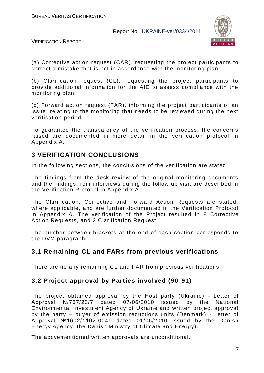

VERIFICATION REPORT

(а) Corrective action request (CAR), requesting the project participants to correct a mistake that is not in accordance with the monitoring plan;

(b) Clarification request (CL), requesting the project participants to provide additional information for the AIE to assess compliance with the monitoring plan

(c) Forward action request (FAR), informing the project participants of an issue, relating to the monitoring that needs to be reviewed during the next verification period.

To guarantee the transparency of the verification process, the concerns raised are documented in more detail in the verification protocol in Appendix A.

## **3 VERIFICATION CONCLUSIONS**

In the following sections, the conclusions of the verification are stated.

The findings from the desk review of the original monitoring documents and the findings from interviews during the follow up visit are described in the Verification Protocol in Appendix A.

The Clarification, Corrective and Forward Action Requests are stated, where applicable, and are further documented in the Verification Protocol in Appendix A. The verification of the Project resulted in 8 Corrective Action Requests, and 2 Clarification Request.

The number between brackets at the end of each section corresponds to the DVM paragraph.

## **3.1 Remaining CL and FARs from previous verifications**

There are no any remaining CL and FAR from previous verifications.

## **3.2 Project approval by Parties involved (90-91)**

The project obtained approval by the Host party (Ukraine) - Letter of Approval №737/23/7 dated 07/06/2010 issued by the National Environmental Investment Agency of Ukraine and written project approval by the party – buyer of emission reductions units (Denmark) - Letter of Approval №1602/1102-0041 dated 01/06/2010 issued by the Danish Energy Agency, the Danish Ministry of Climate and Energy).

The abovementioned written approvals are unconditional.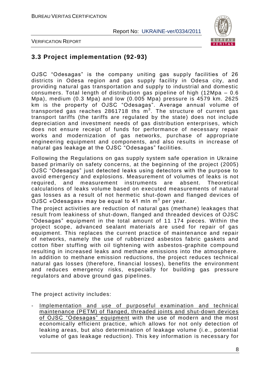

VERIFICATION REPORT

## **3.3 Project implementation (92-93)**

OJSC "Odesagas" is the company uniting gas supply facilities of 26 districts in Odesa region and gas supply facility in Odesa city, and providing natural gas transportation and supply to industrial and domestic consumers. Total length of distribution gas pipeline of high (12Mpa – 0.6 Mpa), medium (0.3 Mpa) and low (0.005 Mpa) pressure is 4579 km. 2625 km is the property of OJSC "Odesagas". Average annual volume of transported gas reaches 2861718 ths  $m^3$ . The structure of current gas transport tariffs (the tariffs are regulated by the state) does not include depreciation and investment needs of gas distribution enterprises, which does not ensure receipt of funds for performance of necessary repair works and modernization of gas networks, purchase of appropriate engineering equipment and components, and also results in increase of natural gas leakage at the OJSC "Odesagas" facilities.

Following the Regulations on gas supply system safe operation in Ukraine based primarily on safety concerns, at the beginning of the project (2005) OJSC "Odesagas" just detected leaks using detectors with the purpose to avoid emergency and explosions. Measurement of volumes of leaks is not required, and measurement instruments are absent. Theoretical calculations of leaks volume based on executed measurements of natural gas losses as a result of not hermetic shut-down and flanged devices of  $\mathsf{OJSC}$  «Odesagas» may be equal to 41 mln m $^3$  per year.

The project activities are reduction of natural gas (methane) leakages that result from leakiness of shut-down, flanged and threaded devices of OJSC "Odesagas" equipment in the total amount of 11 174 pieces. Within the project scope, advanced sealant materials are used for repair of gas equipment. This replaces the current practice of maintenance and repair of networks, namely the use of rubberized asbestos fabric gaskets and cotton fiber stuffing with oil tightening with asbestos -graphite compound resulting in increased leaks and methane emissions into the atmosphere. In addition to methane emission reductions, the project reduces technical natural gas losses (therefore, financial losses), benefits the environment and reduces emergency risks, especially for building gas pressure regulators and above ground gas pipelines.

The project activity includes:

Implementation and use of purposeful examination and technical maintenance (PETM) of flanged, threaded joints and shut-down devices of OJSC "Odesagas" equipment with the use of modern and the most economically efficient practice, which allows for not only detection of leaking areas, but also determination of leakage volume (i.e., potential volume of gas leakage reduction). This key information is necessary for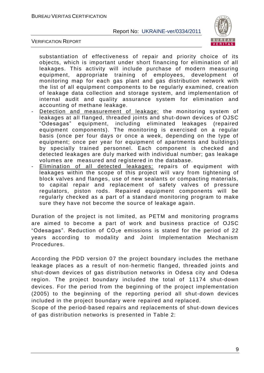

VERIFICATION REPORT

substantiation of effectiveness of repair and priority choice of its objects, which is important under short financing for elimination of all leakages. This activity will include purchase of modern measuring equipment, appropriate training of employees, development of monitoring map for each gas plant and gas distribution network with the list of all equipment components to be regularly examined, creation of leakage data collection and storage system, and implementation of internal audit and quality assurance system for elimination and accounting of methane leakage.

- Detection and measurement of leakage: the monitoring system of leakages at all flanged, threaded joints and shut-down devices of OJSC "Odesagas" equipment, including eliminated leakages (repaired equipment components). The monitoring is exercised on a regular basis (once per four days or once a week, depending on the type of equipment; once per year for equipment of apartments and buildings ) by specially trained personnel. Each component is checked and detected leakages are duly marked with individual number; gas leakage volumes are measured and registered in the database.
- Elimination of all detected leakages: repairs of equipment with leakages within the scope of this project will vary from tightening of block valves and flanges, use of new sealants or compacting materials, to capital repair and replacement of safety valves of pressure regulators, piston rods. Repaired equipment components will be regularly checked as a part of a standard monitoring program to make sure they have not become the source of leakage again.

Duration of the project is not limited, as PETM and monitoring programs are aimed to become a part of work and business practice of OJSC "Odesagas". Reduction of  $CO<sub>2</sub>e$  emissions is stated for the period of 22 years according to modality and Joint Implementation Mechanism Procedures.

According the PDD version 07 the project boundary includes the methane leakage places as a result of non-hermetic flanged, threaded joints and shut-down devices of gas distribution networks in Odesa city and Odesa region. The project boundary included the total of 11174 shut-down devices. For the period from the beginning of the project implementation (2005) to the beginning of the reporting period all shut-down devices included in the project boundary were repaired and replaced.

Scope of the period-based repairs and replacements of shut-down devices of gas distribution networks is presented in Table 2: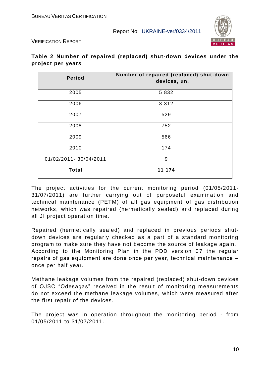

VERIFICATION REPORT

#### **Table 2 Number of repaired (replaced) shut-down devices under the project per years**

| <b>Period</b>         | Number of repaired (replaced) shut-down<br>devices, un. |
|-----------------------|---------------------------------------------------------|
| 2005                  | 5 8 3 2                                                 |
| 2006                  | 3 3 1 2                                                 |
| 2007                  | 529                                                     |
| 2008                  | 752                                                     |
| 2009                  | 566                                                     |
| 2010                  | 174                                                     |
| 01/02/2011-30/04/2011 | 9                                                       |
| <b>Total</b>          | 11 174                                                  |

The project activities for the current monitoring period (01/05/2011- 31/07/2011) are further carrying out of purposeful examination and technical maintenance (PETM) of all gas equipment of gas distribution networks, which was repaired (hermetically sealed) and replaced during all JI project operation time.

Repaired (hermetically sealed) and replaced in previous periods shutdown devices are regularly checked as a part of a standard monitoring program to make sure they have not become the source of leakage again. According to the Monitoring Plan in the PDD version 07 the regular repairs оf gas equipment are done once per year, technical maintenance – once per half year.

Methane leakage volumes from the repaired (replaced) shut-down devices of OJSC "Odesagas" received in the result of monitoring measurements do not exceed the methane leakage volumes, which were measured after the first repair of the devices.

The project was in operation throughout the monitoring period - from 01/05/2011 to 31/07/2011.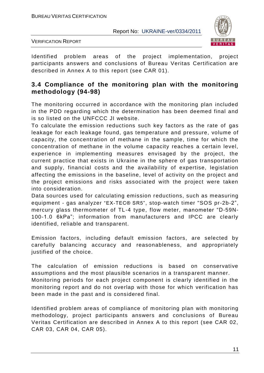

VERIFICATION REPORT

Identified problem areas of the project implementation, project participants answers and conclusions of Bureau Veritas Certification are described in Annex A to this report (see CAR 01).

## **3.4 Compliance of the monitoring plan with the monitoring methodology (94-98)**

The monitoring occurred in accordance with the monitoring plan included in the PDD regarding which the determination has been deemed final and is so listed on the UNFCCC JI website.

To calculate the emission reductions such key factors as the rate of gas leakage for each leakage found, gas temperature and pressure, volume of capacity, the concentration of methane in the sample, time for which the concentration of methane in the volume capacity reaches a certain level, experience in implementing measures envisaged by the project, the current practice that exists in Ukraine in the sphere of gas transportation and supply, financial costs and the availability of expertise, legislation affecting the emissions in the baseline, level of activity on the project and the project emissions and risks associated with the project were taken into consideration.

Data sources used for calculating emission reductions, such as measuring equipment - gas analyzer "EX-TEC® SR5", stop-watch timer "SOS pr-2b-2", mercury glass thermometer of TL-4 type, flow meter, manometer "D-59N-100-1.0 6kPа"; information from manufacturers and IPCC are clearly identified, reliable and transparent.

Emission factors, including default emission factors, are selected by carefully balancing accuracy and reasonableness, and appropriately justified of the choice.

The calculation of emission reductions is based on conservative assumptions and the most plausible scenarios in a transp arent manner. Monitoring periods for each project component is clearly identified in the monitoring report and do not overlap with those for which verification has been made in the past and is considered final.

Identified problem areas of compliance of monitoring plan with monitoring methodology, project participants answers and conclusions of Bureau Veritas Certification are described in Annex A to this report (see CAR 02, CAR 03, CAR 04, CAR 05).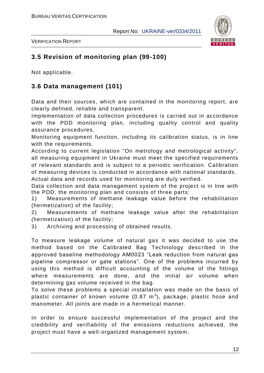

VERIFICATION REPORT

## **3.5 Revision of monitoring plan (99-100)**

Not applicable.

## **3.6 Data management (101)**

Data and their sources, which are contained in the monitoring report, are clearly defined, reliable and transparent.

Implementation of data collection procedures is carried out in accordance with the PDD monitoring plan, including quality control and quality assurance procedures.

Monitoring equipment function, including its calibration status, is in line with the requirements.

According to current legislation "On metrology and metrological activity", all measuring equipment in Ukraine must meet the specified requirements of relevant standards and is subject to a periodic verification. Calibration of measuring devices is conducted in accordance with national standards. Actual data and records used for monitoring are duly verified.

Data collection and data management system of the project is in line with the PDD, the monitoring plan and consists of three parts:

1) Measurements of methane leakage value before the rehabilitation (hermetization) of the facility;

2) Measurements of methane leakage value after the rehabilitation (hermetization) of the facility;

3) Archiving and processing of obtained results.

To measure leakage volume of natural gas it was decided to use the method based on the Calibrated Bag Technology described in the approved baseline methodology AM0023 "Leak reduction from natural gas pipeline compressor or gate stations". One of the problems incurred by using this method is difficult accounting of the volume of the fittings where measurements are done, and the initial air volume when determining gas volume received in the bag.

To solve these problems a special installation was made on the basis of plastic container of known volume (0.87  $\textsf{m}^{3}$ ), package, plastic hose and manometer. All joints are made in a hermetical manner.

In order to ensure successful implementation of the project and the credibility and verifiability of the emissions reductions achieved, the project must have a well-organized management system.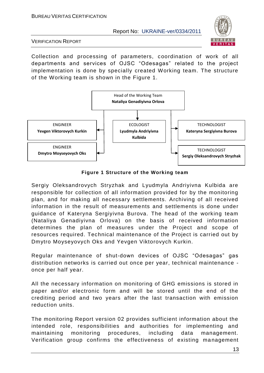

VERIFICATION REPORT

Collection and processing of parameters, coordination of work of all departments and services of OJSC "Odesagas" related to the project implementation is done by specially created Working team. The structure of the Working team is shown in the Figure 1.



**Figure 1 Structure of the Working team**

Sergiy Oleksandrovych Stryzhak and Lyudmyla Andriyivna Kulbida are responsible for collection of all information provided for by the monitoring plan, and for making all necessary settlements. Archiving of all received information in the result of measurements and settlements is done under guidance of Kateryna Sergiyivna Burova. The head of the working team (Nataliya Genadiyivna Orlova) on the basis of received information determines the plan of measures under the Project and scope of resources required. Technical maintenance of the Project is carried out by Dmytro Moyseyovych Oks and Yevgen Viktorovych Kurkin.

Regular maintenance of shut-down devices of OJSC "Odesagas" gas distribution networks is carried out once per year, technical maintenance once per half year.

All the necessary information on monitoring of GHG emissions is stored in paper and/or electronic form and will be stored until the end of the crediting period and two years after the last transaction with emission reduction units.

The monitoring Report version 02 provides sufficient information about the intended role, responsibilities and authorities for implementing and maintaining monitoring procedures, including data management. Verification group confirms the effectiveness of existing management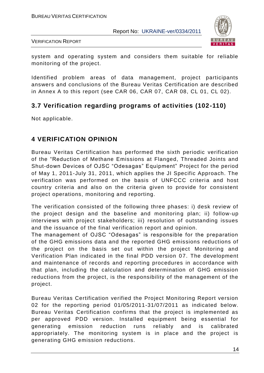

VERIFICATION REPORT

system and operating system and considers them suitable for reliable monitoring of the project.

Identified problem areas of data management, project participants answers and conclusions of the Bureau Veritas Certification are described in Annex A to this report (see CAR 06, CAR 07, CAR 08, CL 01, CL 02).

## **3.7 Verification regarding programs of activities (102-110)**

Not applicable.

## **4 VERIFICATION OPINION**

Bureau Veritas Certification has performed the sixth periodic verification of the "Reduction of Methane Emissions at Flanged, Threaded Joints and Shut-down Devices of OJSC "Odesagas" Equipment" Project for the period of May 1, 2011-July 31, 2011, which applies the JI Specific Approach. The verification was performed on the basis of UNFCCC criteria and host country criteria and also on the criteria given to provide for consistent project operations, monitoring and reporting.

The verification consisted of the following three phases: i) desk review of the project design and the baseline and monitoring plan; ii) follow-up interviews with project stakeholders; iii) resolution of outstanding issues and the issuance of the final verification report and opinion.

The management of OJSC "Odesagas" is responsible for the preparation of the GHG emissions data and the reported GHG emissions reductions of the project on the basis set out within the project Monitoring and Verification Plan indicated in the final PDD version 07. The development and maintenance of records and reporting procedures in accordance with that plan, including the calculation and determination of GHG emission reductions from the project, is the responsibility of the management of the project.

Bureau Veritas Certification verified the Project Monitoring Report version 02 for the reporting period 01/05/2011-31/07/2011 as indicated below. Bureau Veritas Certification confirms that the project is implemented as per approved PDD version. Installed equipment being essential for generating emission reduction runs reliably and is calibrated appropriately. The monitoring system is in place and the project is generating GHG emission reductions.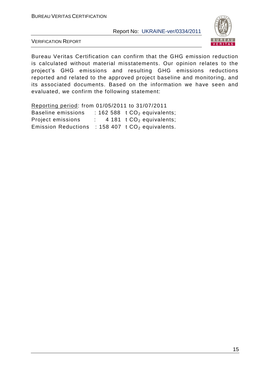

VERIFICATION REPORT

Bureau Veritas Certification can confirm that the GHG emission reduction is calculated without material misstatements. Our opinion relates to the project's GHG emissions and resulting GHG emissions reductions reported and related to the approved project baseline and monitoring, and its associated documents. Based on the information we have seen and evaluated, we confirm the following statement:

Reporting period: from 01/05/2011 to 31/07/2011 Baseline emissions :  $162588$  t  $CO<sub>2</sub>$  equivalents; Project emissions  $\therefore$  4 181 t CO<sub>2</sub> equivalents; Emission Reductions : 158 407  $t$  CO<sub>2</sub> equivalents.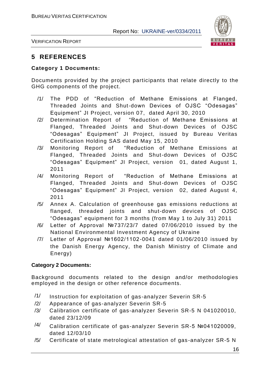

VERIFICATION REPORT

## **5 REFERENCES**

#### **Category 1 Documents:**

Documents provided by the project participants that relate directly to the GHG components of the project.

- /1/ The PDD of "Reduction of Methane Emissions at Flanged, Threaded Joints and Shut-down Devices of OJSC "Odesagas" Equipment" JI Project, version 07, dated April 30, 2010
- /2/ Determination Report of "Reduction of Methane Emissions at Flanged, Threaded Joints and Shut-down Devices of OJSC "Odesagas" Equipment" JI Project, issued by Bureau Veritas Certification Holding SAS dated May 15, 2010
- /3/ Monitoring Report of "Reduction of Methane Emissions at Flanged, Threaded Joints and Shut-down Devices of OJSC "Odesagas" Equipment" JI Project, version 01, dated August 1, 2011
- /4/ Monitoring Report of "Reduction of Methane Emissions at Flanged, Threaded Joints and Shut-down Devices of OJSC "Odesagas" Equipment" JI Project, version 02, dated August 4, 2011
- /5/ Annex A. Calculation of greenhouse gas emissions reductions at flanged, threaded joints and shut-down devices of OJSC "Odesagas" equipment for 3 months (from May 1 to July 31) 2011
- /6/ Letter of Approval №737/23/7 dated 07/06/2010 issued by the National Environmental Investment Agency of Ukraine
- /7/ Letter of Approval №1602/1102-0041 dated 01/06/2010 issued by the Danish Energy Agency, the Danish Ministry of Climate and Energy)

#### **Category 2 Documents:**

Background documents related to the design and/or methodologies employed in the design or other reference documents.

- /1/ Instruction for exploitation of gas-analyzer Severin SR-5
- /2/ Appearance of gas-analyzer Severin SR-5
- /3/ Calibration certificate of gas-analyzer Severin SR-5 N 041020010, dated 23/12/09
- $/4$  Calibration certificate of gas-analyzer Severin SR-5 №041020009, dated 12/03/10
- /5/ Certificate of state metrological attestation of gas -analyzer SR-5 N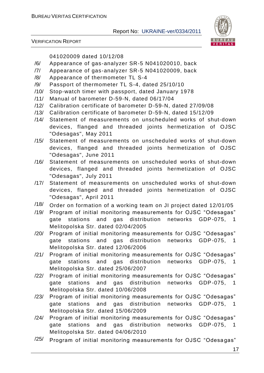

VERIFICATION REPORT

041020009 dated 10/12/08

- /6/ Appearance of gas-analyzer SR-5 N041020010, back
- /7/ Appearance of gas-analyzer SR-5 N041020009, back
- /8/ Appearance of thermometer TL S-4
- /9/ Passport of thermometer TL S-4, dated 25/10/10
- /10/ Stop-watch timer with passport, dated January 1978
- /11/ Manual of barometer D-59-N, dated 06/17/04
- /12/ Calibration certificate of barometer D-59-N, dated 27/09/08
- /13/ Calibration certificate of barometer D-59-N, dated 15/12/09
- /14/ Statement of measurements on unscheduled works of shut-down devices, flanged and threaded joints hermetization of OJSC "Odesagas", May 2011
- /15/ Statement of measurements on unscheduled works of shut-down devices, flanged and threaded joints hermetization of OJSC "Odesagas", June 2011
- /16/ Statement of measurements on unscheduled works of shut-down devices, flanged and threaded joints hermetization of OJSC "Odesagas", July 2011
- /17/ Statement of measurements on unscheduled works of shut-down devices, flanged and threaded joints hermetization of OJSC "Odesagas", April 2011
- /18/ Order on formation of a working team on JI project dated 12/01/05
- /19/ Program of initial monitoring measurements for OJSC "Odesagas" gate stations and gas distribution networks GDP-075, 1 Melitopolska Str. dated 02/04/2005
- /20/ Program of initial monitoring measurements for OJSC "Odesagas" gate stations and gas distribution networks GDP-075, 1 Melitopolska Str. dated 12/06/2006
- /21/ Program of initial monitoring measurements for OJSC "Odesagas" gate stations and gas distribution networks GDP-075, 1 Melitopolska Str. dated 25/06/2007
- /22/ Program of initial monitoring measurements for OJSC "Odesagas" gate stations and gas distribution networks GDP-075, 1 Melitopolska Str. dated 10/06/2008
- /23/ Program of initial monitoring measurements for OJSC "Odesagas" gate stations and gas distribution networks GDP-075, 1 Melitopolska Str. dated 15/06/2009
- /24/ Program of initial monitoring measurements for OJSC "Odesagas" gate stations and gas distribution networks GDP-075, 1 Melitopolska Str. dated 04/06/2010
- $\frac{125}{125}$  Program of initial monitoring measurements for OJSC "Odesagas"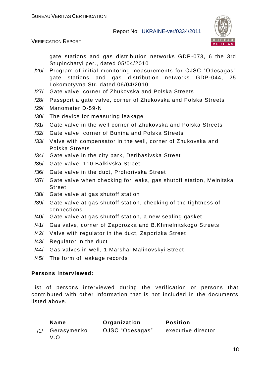

VERIFICATION REPORT

gate stations and gas distribution networks GDP-073, 6 the 3rd Stupinchatyi per., dated 05/04/2010

- /26/ Program of initial monitoring measurements for OJSC "Odesagas" gate stations and gas distribution networks GDP-044, 25 Lokomotyvna Str. dated 06/04/2010
- /27/ Gate valve, corner of Zhukovska and Polska Streets
- /28/ Passport a gate valve, corner of Zhukovska and Polska Streets
- /29/ Manometer D-59-N
- /30/ The device for measuring leakage
- /31/ Gate valve in the well corner of Zhukovska and Polska Streets
- /32/ Gate valve, corner of Bunina and Polska Streets
- /33/ Valve with compensator in the well, corner of Zhukovska and Polska Streets
- /34/ Gate valve in the city park, Deribasivska Street
- /35/ Gate valve, 110 Balkivska Street
- /36/ Gate valve in the duct, Prohorivska Street
- /37/ Gate valve when checking for leaks, gas shutoff station, Melnitska **Street**
- /38/ Gate valve at gas shutoff station
- /39/ Gate valve at gas shutoff station, checking of the tightness of connections
- /40/ Gate valve at gas shutoff station, a new sealing gasket
- /41/ Gas valve, corner of Zaporozka and B.Khmelnitskogo Streets
- /42/ Valve with regulator in the duct, Zaporizka Street
- /43/ Regulator in the duct
- /44/ Gas valves in well, 1 Marshal Malinovskyi Street
- /45/ The form of leakage records

#### **Persons interviewed:**

List of persons interviewed during the verification or persons that contributed with other information that is not included in the documents listed above.

| <b>Name</b>             | Organization    | <b>Position</b>    |
|-------------------------|-----------------|--------------------|
| /1/ Gerasymenko<br>V.O. | OJSC "Odesagas" | executive director |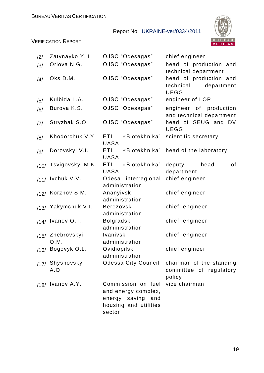

| /2/  | Zatynayko Y. L.          | OJSC "Odesagas"                                                                                   | chief engineer                                                   |
|------|--------------------------|---------------------------------------------------------------------------------------------------|------------------------------------------------------------------|
| /3/  | Orlova N.G.              | OJSC "Odesagas"                                                                                   | head of production and<br>technical department                   |
| /4/  | Oks D.M.                 | OJSC "Odesagas"                                                                                   | head of production and<br>department<br>technical<br><b>UEGG</b> |
| /5/  | Kulbida L.A.             | OJSC "Odesagas"                                                                                   | engineer of LOP                                                  |
| /6/  | Burova K.S.              | OJSC "Odesagas"                                                                                   | engineer of production<br>and technical department               |
| 7    | Stryzhak S.O.            | OJSC "Odesagas"                                                                                   | head of SEUG and DV<br><b>UEGG</b>                               |
| /8/  | Khodorchuk V.Y.          | ETI.<br>«Biotekhnika"<br><b>UASA</b>                                                              | scientific secretary                                             |
| /9/  | Dorovskyi V.I.           | ETI<br>«Biotekhnika"<br><b>UASA</b>                                                               | head of the laboratory                                           |
| /10/ | Tsvigovskyi M.K.         | ETI<br>«Biotekhnika"<br><b>UASA</b>                                                               | deputy<br>head<br>of<br>department                               |
|      | /11/ Ivchuk V.V.         | interregional<br>Odesa<br>administration                                                          | chief engineer                                                   |
|      | /12/ Korzhov S.M.        | Ananyivsk<br>administration                                                                       | chief engineer                                                   |
| /13/ | Yakymchuk V.I.           | <b>Berezovsk</b><br>administration                                                                | chief engineer                                                   |
|      | /14/ Ivanov O.T.         | <b>Bolgradsk</b><br>administration                                                                | chief engineer                                                   |
|      | /15/ Zhebrovskyi<br>O.M. | Ivanivsk<br>administration                                                                        | chief engineer                                                   |
|      | /16/ Bogovyk O.L.        | Ovidiopilsk<br>administration                                                                     | chief engineer                                                   |
|      | /17/ Shyshovskyi<br>A.O. | <b>Odessa City Council</b>                                                                        | chairman of the standing<br>committee of regulatory<br>policy    |
|      | /18/ Ivanov A.Y.         | Commission on fuel<br>and energy complex,<br>energy saving and<br>housing and utilities<br>sector | vice chairman                                                    |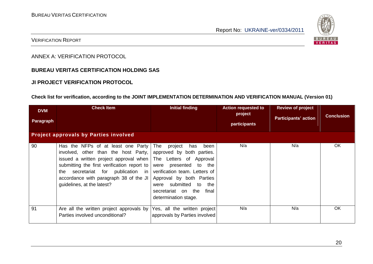

#### VERIFICATION REPORT

ANNEX A: VERIFICATION PROTOCOL

#### **BUREAU VERITAS CERTIFICATION HOLDING SAS**

#### **JI PROJECT VERIFICATION PROTOCOL**

#### **Check list for verification, according to the JOINT IMPLEMENTATION DETERMINATION AND VERIFICATION MANUAL (Version 01)**

| <b>DVM</b><br>Paragraph | <b>Check Item</b><br><b>Project approvals by Parties involved</b>                                                                                                                                                                                                                                                                                             | <b>Initial finding</b>                                                                                                                                                    | <b>Action requested to</b><br>project<br>participants | <b>Review of project</b><br><b>Participants' action</b> | <b>Conclusion</b> |
|-------------------------|---------------------------------------------------------------------------------------------------------------------------------------------------------------------------------------------------------------------------------------------------------------------------------------------------------------------------------------------------------------|---------------------------------------------------------------------------------------------------------------------------------------------------------------------------|-------------------------------------------------------|---------------------------------------------------------|-------------------|
| 90                      | Has the NFPs of at least one Party<br>involved, other than the host Party,<br>issued a written project approval when The Letters of Approval<br>submitting the first verification report to were presented to the<br>the secretariat for publication in verification team. Letters of<br>accordance with paragraph 38 of the JI<br>guidelines, at the latest? | The<br>project<br>has<br>been<br>approved by both parties.<br>Approval by both Parties<br>were submitted to<br>the<br>secretariat on the<br>final<br>determination stage. | N/a                                                   | N/a                                                     | <b>OK</b>         |
| 91                      | Are all the written project approvals by Yes, all the written project<br>Parties involved unconditional?                                                                                                                                                                                                                                                      | approvals by Parties involved                                                                                                                                             | N/a                                                   | N/a                                                     | OK                |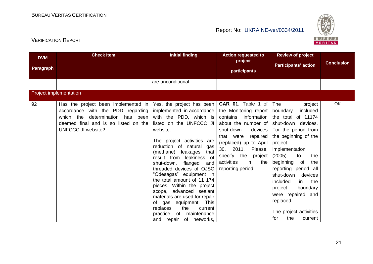

| <b>DVM</b><br>Paragraph | <b>Check Item</b>                                                                                                                                                                                                  | <b>Initial finding</b><br>are unconditional.                                                                                                                                                                                                                                                                                                                                                                                 | <b>Action requested to</b><br>project<br>participants                                                                                                                                                                                                                        | <b>Review of project</b><br><b>Participants' action</b>                                                                                                                                                                                                                                                            | <b>Conclusion</b> |
|-------------------------|--------------------------------------------------------------------------------------------------------------------------------------------------------------------------------------------------------------------|------------------------------------------------------------------------------------------------------------------------------------------------------------------------------------------------------------------------------------------------------------------------------------------------------------------------------------------------------------------------------------------------------------------------------|------------------------------------------------------------------------------------------------------------------------------------------------------------------------------------------------------------------------------------------------------------------------------|--------------------------------------------------------------------------------------------------------------------------------------------------------------------------------------------------------------------------------------------------------------------------------------------------------------------|-------------------|
|                         |                                                                                                                                                                                                                    |                                                                                                                                                                                                                                                                                                                                                                                                                              |                                                                                                                                                                                                                                                                              |                                                                                                                                                                                                                                                                                                                    |                   |
| 92                      | Project implementation<br>Has the project been implemented in $ $<br>accordance with the PDD regarding<br>which the<br>determination has been<br>deemed final and is so listed on the<br><b>UNFCCC JI website?</b> | Yes, the project has been<br>implemented in accordance<br>with the PDD, which is<br>listed on the UNFCCC JI<br>website.<br>The project activities are<br>reduction of natural<br>gas<br>that<br>(methane) leakages<br>result from leakiness of<br>shut-down,<br>flanged<br>and<br>threaded devices of OJSC<br>"Odesagas" equipment in<br>the total amount of 11 174<br>pieces. Within the project<br>scope, advanced sealant | CAR 01. Table 1 of<br>the Monitoring report  <br>information<br>contains<br>about the number of<br>shut-down<br>devices<br>repaired<br>that were<br>(replaced) up to April<br>30, 2011.<br>Please,<br>specify the<br>project<br>activities<br>in<br>the<br>reporting period. | The<br>project<br>included<br>boundary<br>of 11174<br>the total<br>shut-down devices.<br>For the period from<br>the beginning of the<br>project<br>implementation<br>(2005)<br>to<br>the<br>beginning<br>of<br>the<br>reporting period all<br>shut-down<br>devices<br>included<br>in<br>the<br>project<br>boundary | <b>OK</b>         |
|                         |                                                                                                                                                                                                                    | materials are used for repair<br>equipment. This<br>of gas<br>the<br>replaces<br>current<br>practice<br>of<br>maintenance<br>and repair of networks,                                                                                                                                                                                                                                                                         |                                                                                                                                                                                                                                                                              | were repaired and<br>replaced.<br>The project activities<br>for<br>the<br>current                                                                                                                                                                                                                                  |                   |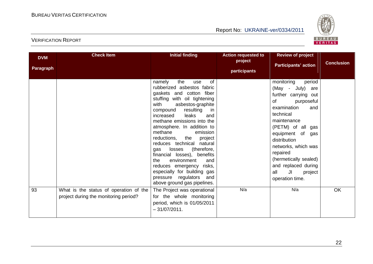

| <b>DVM</b><br><b>Paragraph</b> | <b>Check Item</b>                                                               | <b>Initial finding</b>                                                                                                                                                                                                                                                                                                                                                                                                                                                                                                                                                                        | <b>Action requested to</b><br>project<br>participants | <b>Review of project</b><br><b>Participants' action</b>                                                                                                                                                                                                                                                                          | <b>Conclusion</b> |
|--------------------------------|---------------------------------------------------------------------------------|-----------------------------------------------------------------------------------------------------------------------------------------------------------------------------------------------------------------------------------------------------------------------------------------------------------------------------------------------------------------------------------------------------------------------------------------------------------------------------------------------------------------------------------------------------------------------------------------------|-------------------------------------------------------|----------------------------------------------------------------------------------------------------------------------------------------------------------------------------------------------------------------------------------------------------------------------------------------------------------------------------------|-------------------|
|                                |                                                                                 | the<br>namely<br>0f<br>use<br>rubberized asbestos fabric<br>gaskets and cotton fiber<br>stuffing with oil tightening<br>with<br>asbestos-graphite<br>resulting<br>compound<br><sub>in</sub><br>leaks<br>increased<br>and<br>methane emissions into the<br>atmosphere. In addition to<br>methane<br>emission<br>reductions,<br>the<br>project<br>reduces technical natural<br>losses<br>(therefore,<br>gas<br>financial losses), benefits<br>environment<br>the<br>and<br>reduces emergency risks,<br>especially for building gas<br>pressure regulators<br>and<br>above ground gas pipelines. |                                                       | monitoring<br>period<br>(May - July)<br>are<br>further carrying out<br>of<br>purposeful<br>examination<br>and<br>technical<br>maintenance<br>(PETM) of all gas<br>equipment of gas<br>distribution<br>networks, which was<br>repaired<br>(hermetically sealed)<br>and replaced during<br>all<br>JI<br>project<br>operation time. |                   |
| 93                             | What is the status of operation of the<br>project during the monitoring period? | The Project was operational<br>for the whole monitoring<br>period, which is 01/05/2011<br>$-31/07/2011$ .                                                                                                                                                                                                                                                                                                                                                                                                                                                                                     | N/a                                                   | N/a                                                                                                                                                                                                                                                                                                                              | OK                |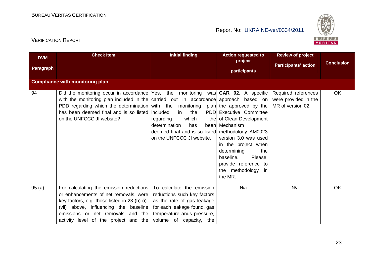

| <b>DVM</b><br>Paragraph | <b>Check Item</b>                                                                                                                                                                                                                                                                                                                                       | <b>Initial finding</b>                                                                                                                                                         | <b>Action requested to</b><br>project<br>participants                                                                                                                                                                       | <b>Review of project</b><br><b>Participants' action</b>          | <b>Conclusion</b> |
|-------------------------|---------------------------------------------------------------------------------------------------------------------------------------------------------------------------------------------------------------------------------------------------------------------------------------------------------------------------------------------------------|--------------------------------------------------------------------------------------------------------------------------------------------------------------------------------|-----------------------------------------------------------------------------------------------------------------------------------------------------------------------------------------------------------------------------|------------------------------------------------------------------|-------------------|
|                         | <b>Compliance with monitoring plan</b>                                                                                                                                                                                                                                                                                                                  |                                                                                                                                                                                |                                                                                                                                                                                                                             |                                                                  |                   |
| 94                      | Did the monitoring occur in accordance Yes, the monitoring was <b>CAR 02.</b> A specific<br>with the monitoring plan included in the carried out in accordance approach based on<br>PDD regarding which the determination with the monitoring plan the approved by the<br>has been deemed final and is so listed lincluded<br>on the UNFCCC JI website? | the<br>in<br>which<br>regarding<br>has<br>determination<br>deemed final and is so listed methodology AM0023<br>on the UNFCCC JI website.                                       | PDD Executive Committee<br>the of Clean Development<br>been Mechanism<br>version 3.0 was used<br>in the project when<br>determining<br>the<br>baseline.<br>Please,<br>provide reference to<br>the methodology in<br>the MR. | Required references<br>were provided in the<br>MR of version 02. | OK                |
| 95(a)                   | For calculating the emission reductions  <br>or enhancements of net removals, were<br>key factors, e.g. those listed in 23 (b) (i)-<br>(vii) above, influencing the baseline<br>emissions or net removals and the<br>activity level of the project and the                                                                                              | To calculate the emission<br>reductions such key factors<br>as the rate of gas leakage<br>for each leakage found, gas<br>temperature ands pressure,<br>volume of capacity, the | N/a                                                                                                                                                                                                                         | N/a                                                              | OK                |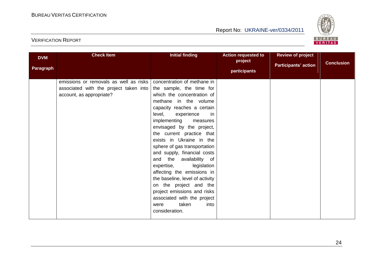

| <b>DVM</b><br>Paragraph | <b>Check Item</b>                                                                                            | <b>Initial finding</b>                                                                                                                                                                                                                                                                                                                                                                                                                                                                                                                                                                                                  | <b>Action requested to</b><br>project<br>participants | <b>Review of project</b><br><b>Participants' action</b> | <b>Conclusion</b> |
|-------------------------|--------------------------------------------------------------------------------------------------------------|-------------------------------------------------------------------------------------------------------------------------------------------------------------------------------------------------------------------------------------------------------------------------------------------------------------------------------------------------------------------------------------------------------------------------------------------------------------------------------------------------------------------------------------------------------------------------------------------------------------------------|-------------------------------------------------------|---------------------------------------------------------|-------------------|
|                         | emissions or removals as well as risks<br>associated with the project taken into<br>account, as appropriate? | concentration of methane in<br>the sample, the time for<br>which the concentration of<br>methane in the volume<br>capacity reaches a certain<br>level,<br>experience<br>in<br>implementing<br>measures<br>envisaged by the project,<br>the current practice that<br>exists in Ukraine in the<br>sphere of gas transportation<br>and supply, financial costs<br>and the availability of<br>expertise,<br>legislation<br>affecting the emissions in<br>the baseline, level of activity<br>on the project and the<br>project emissions and risks<br>associated with the project<br>taken<br>into<br>were<br>consideration. |                                                       |                                                         |                   |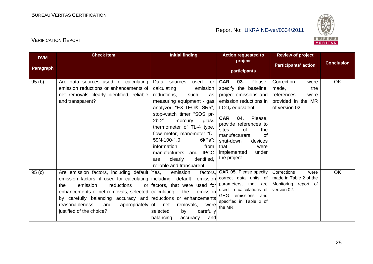

| <b>DVM</b> | <b>Check Item</b>                                                                                                                                                                                                                                                                                                                                  | <b>Initial finding</b>                                                                                                                                                                                                                                                                                                                                                                                                      | <b>Action requested to</b><br>project                                                                                                                                                                                                                                                                                 | <b>Review of project</b>                                                                         | <b>Conclusion</b> |
|------------|----------------------------------------------------------------------------------------------------------------------------------------------------------------------------------------------------------------------------------------------------------------------------------------------------------------------------------------------------|-----------------------------------------------------------------------------------------------------------------------------------------------------------------------------------------------------------------------------------------------------------------------------------------------------------------------------------------------------------------------------------------------------------------------------|-----------------------------------------------------------------------------------------------------------------------------------------------------------------------------------------------------------------------------------------------------------------------------------------------------------------------|--------------------------------------------------------------------------------------------------|-------------------|
| Paragraph  |                                                                                                                                                                                                                                                                                                                                                    |                                                                                                                                                                                                                                                                                                                                                                                                                             | participants                                                                                                                                                                                                                                                                                                          | <b>Participants' action</b>                                                                      |                   |
| 95(b)      | Are data sources used for calculating<br>emission reductions or enhancements of<br>net removals clearly identified, reliable<br>and transparent?                                                                                                                                                                                                   | used<br>for<br>Data<br>sources<br>calculating<br>emission<br>reductions,<br>such<br>as<br>measuring equipment - gas<br>analyzer "EX-TEC® SR5",<br>stop-watch timer "SOS pr-<br>$2b-2$ ",<br>mercury<br>glass<br>thermometer of TL-4 type,<br>flow meter, manometer "D-<br>59N-100-1.0<br>6kPa";<br>information<br>from<br><b>IPCC</b><br>manufacturers<br>and<br>identified,<br>clearly<br>are<br>reliable and transparent. | <b>CAR</b><br>Please,<br>03.<br>specify the baseline,<br>project emissions and<br>emission reductions in<br>t $CO2$ equivalent.<br>Please,<br>CAR<br>04.<br>provide references to<br>sites<br><b>of</b><br>the<br>manufacturers<br>of<br>devices<br>shut-down<br>that<br>were<br>implemented<br>under<br>the project. | Correction<br>were<br>made,<br>the<br>references<br>were<br>provided in the MR<br>of version 02. | OK                |
| 95(c)      | Are emission factors, including default Yes,<br>emission factors, if used for calculating including default<br>reductions<br>emission<br>the<br>enhancements of net removals, selected calculating<br>by carefully balancing accuracy and reductions or enhancements<br>reasonableness,<br>appropriately of net<br>and<br>justified of the choice? | emission<br>factors,<br>or factors, that were<br>used for<br>emission<br>the<br>removals,<br>were<br>selected<br>carefully<br>by<br>balancing<br>accuracy<br>and                                                                                                                                                                                                                                                            | <b>CAR 05.</b> Please specify<br>emission correct data units of<br>parameters, that are<br>used in calculations of<br>GHG emissions and<br>specified in Table 2 of<br>the MR.                                                                                                                                         | Corrections<br>were<br>made in Table 2 of the<br>Monitoring report of<br>version 02.             | OK                |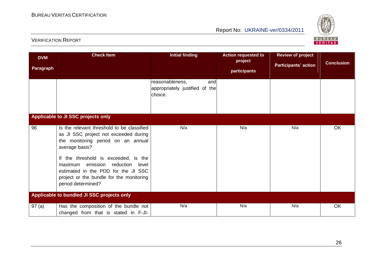

| <b>DVM</b><br>Paragraph | <b>Check Item</b>                                                                                                                                                                                                                                                                                                                | <b>Initial finding</b>                                              | <b>Action requested to</b><br>project<br>participants | <b>Review of project</b><br><b>Participants' action</b> | <b>Conclusion</b> |
|-------------------------|----------------------------------------------------------------------------------------------------------------------------------------------------------------------------------------------------------------------------------------------------------------------------------------------------------------------------------|---------------------------------------------------------------------|-------------------------------------------------------|---------------------------------------------------------|-------------------|
|                         |                                                                                                                                                                                                                                                                                                                                  | reasonableness,<br>and<br>appropriately justified of the<br>choice. |                                                       |                                                         |                   |
|                         | Applicable to JI SSC projects only                                                                                                                                                                                                                                                                                               |                                                                     |                                                       |                                                         |                   |
| 96                      | Is the relevant threshold to be classified<br>as JI SSC project not exceeded during<br>the monitoring period on an annual<br>average basis?<br>If the threshold is exceeded, is the<br>maximum emission reduction level<br>estimated in the PDD for the JI SSC<br>project or the bundle for the monitoring<br>period determined? | N/a                                                                 | N/a                                                   | N/a                                                     | OK                |
|                         | Applicable to bundled JI SSC projects only                                                                                                                                                                                                                                                                                       |                                                                     |                                                       |                                                         |                   |
| 97(a)                   | Has the composition of the bundle not<br>changed from that is stated in F-JI-                                                                                                                                                                                                                                                    | N/a                                                                 | N/a                                                   | N/a                                                     | OK                |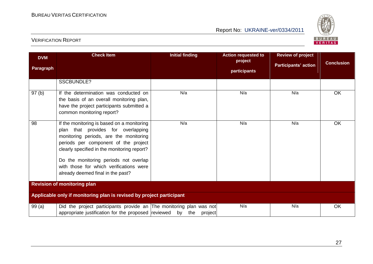

| <b>DVM</b><br>Paragraph | <b>Check Item</b>                                                                                                                                                                                                                                                                                                                          | <b>Initial finding</b> | <b>Action requested to</b><br>project<br>participants | <b>Review of project</b><br><b>Participants' action</b> | <b>Conclusion</b> |
|-------------------------|--------------------------------------------------------------------------------------------------------------------------------------------------------------------------------------------------------------------------------------------------------------------------------------------------------------------------------------------|------------------------|-------------------------------------------------------|---------------------------------------------------------|-------------------|
|                         | <b>SSCBUNDLE?</b>                                                                                                                                                                                                                                                                                                                          |                        |                                                       |                                                         |                   |
| 97 <sub>(b)</sub>       | If the determination was conducted on<br>the basis of an overall monitoring plan,<br>have the project participants submitted a<br>common monitoring report?                                                                                                                                                                                | N/a                    | N/a                                                   | N/a                                                     | <b>OK</b>         |
| 98                      | If the monitoring is based on a monitoring<br>plan that provides for overlapping<br>monitoring periods, are the monitoring<br>periods per component of the project<br>clearly specified in the monitoring report?<br>Do the monitoring periods not overlap<br>with those for which verifications were<br>already deemed final in the past? | N/a                    | N/a                                                   | N/a                                                     | <b>OK</b>         |
|                         | <b>Revision of monitoring plan</b>                                                                                                                                                                                                                                                                                                         |                        |                                                       |                                                         |                   |
|                         | Applicable only if monitoring plan is revised by project participant                                                                                                                                                                                                                                                                       |                        |                                                       |                                                         |                   |
| 99(a)                   | Did the project participants provide an The monitoring plan was not<br>appropriate justification for the proposed reviewed by the                                                                                                                                                                                                          | project                | N/a                                                   | N/a                                                     | OK                |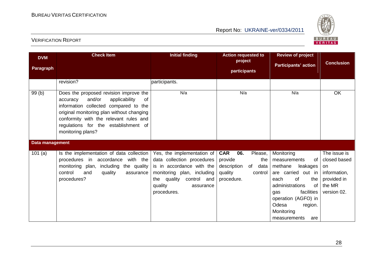

| <b>DVM</b><br>Paragraph | <b>Check Item</b>                                                                                                                                                                                                                                                                       | <b>Initial finding</b>                                                                                                                                                                   | <b>Action requested to</b><br>project<br>participants                                                           | <b>Review of project</b><br><b>Participants' action</b>                                                                                                                                                                                 | <b>Conclusion</b>                                                                          |
|-------------------------|-----------------------------------------------------------------------------------------------------------------------------------------------------------------------------------------------------------------------------------------------------------------------------------------|------------------------------------------------------------------------------------------------------------------------------------------------------------------------------------------|-----------------------------------------------------------------------------------------------------------------|-----------------------------------------------------------------------------------------------------------------------------------------------------------------------------------------------------------------------------------------|--------------------------------------------------------------------------------------------|
|                         | revision?                                                                                                                                                                                                                                                                               | participants.                                                                                                                                                                            |                                                                                                                 |                                                                                                                                                                                                                                         |                                                                                            |
| 99(b)                   | Does the proposed revision improve the<br>and/or<br>applicability<br><b>of</b><br>accuracy<br>information collected compared to the<br>original monitoring plan without changing<br>conformity with the relevant rules and<br>regulations for the establishment of<br>monitoring plans? | N/a                                                                                                                                                                                      | N/a                                                                                                             | N/a                                                                                                                                                                                                                                     | OK                                                                                         |
| Data management         |                                                                                                                                                                                                                                                                                         |                                                                                                                                                                                          |                                                                                                                 |                                                                                                                                                                                                                                         |                                                                                            |
| 101(a)                  | Is the implementation of data collection<br>procedures in accordance with the<br>monitoring plan, including the quality<br>control<br>quality<br>and<br>assurance<br>procedures?                                                                                                        | Yes, the implementation of<br>data collection procedures<br>is in accordance with the<br>monitoring plan, including<br>the quality<br>control and<br>quality<br>assurance<br>procedures. | <b>CAR</b><br>06.<br>Please,<br>provide<br>the<br>description<br>of<br>data<br>quality<br>control<br>procedure. | Monitoring<br>measurements<br>οf<br>methane<br>leakages<br>are carried out in<br>each<br><b>of</b><br>the<br>administrations<br>0f<br>facilities<br>gas<br>operation (AGFO) in<br>Odesa<br>region.<br>Monitoring<br>measurements<br>are | The issue is<br>closed based<br>on<br>information,<br>provided in<br>the MR<br>version 02. |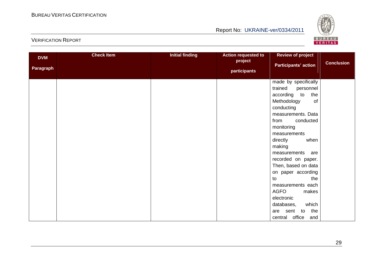

| <b>DVM</b><br>Paragraph | <b>Check Item</b> | <b>Initial finding</b> | <b>Action requested to</b><br>project<br>participants | <b>Review of project</b><br><b>Participants' action</b> | <b>Conclusion</b> |
|-------------------------|-------------------|------------------------|-------------------------------------------------------|---------------------------------------------------------|-------------------|
|                         |                   |                        |                                                       | made by specifically                                    |                   |
|                         |                   |                        |                                                       | trained<br>personnel                                    |                   |
|                         |                   |                        |                                                       | according to<br>the                                     |                   |
|                         |                   |                        |                                                       | Methodology<br>of<br>conducting                         |                   |
|                         |                   |                        |                                                       | measurements. Data                                      |                   |
|                         |                   |                        |                                                       | conducted<br>from                                       |                   |
|                         |                   |                        |                                                       | monitoring                                              |                   |
|                         |                   |                        |                                                       | measurements                                            |                   |
|                         |                   |                        |                                                       | when<br>directly                                        |                   |
|                         |                   |                        |                                                       | making                                                  |                   |
|                         |                   |                        |                                                       | measurements are                                        |                   |
|                         |                   |                        |                                                       | recorded on paper.                                      |                   |
|                         |                   |                        |                                                       | Then, based on data                                     |                   |
|                         |                   |                        |                                                       | on paper according                                      |                   |
|                         |                   |                        |                                                       | the<br>to                                               |                   |
|                         |                   |                        |                                                       | measurements each<br><b>AGFO</b>                        |                   |
|                         |                   |                        |                                                       | makes<br>electronic                                     |                   |
|                         |                   |                        |                                                       | which<br>databases,                                     |                   |
|                         |                   |                        |                                                       | are sent to the                                         |                   |
|                         |                   |                        |                                                       | central office and                                      |                   |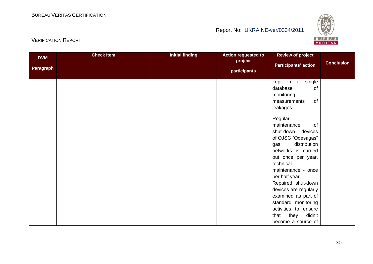

| <b>DVM</b><br><b>Paragraph</b> | <b>Check Item</b> | <b>Initial finding</b> | <b>Action requested to</b><br>project<br>participants | <b>Review of project</b><br><b>Participants' action</b>                                                                                                                                                                                                                                                                                                                                                                                   | <b>Conclusion</b> |
|--------------------------------|-------------------|------------------------|-------------------------------------------------------|-------------------------------------------------------------------------------------------------------------------------------------------------------------------------------------------------------------------------------------------------------------------------------------------------------------------------------------------------------------------------------------------------------------------------------------------|-------------------|
|                                |                   |                        |                                                       | kept in a<br>single<br>database<br>of<br>monitoring<br>of<br>measurements<br>leakages.<br>Regular<br>maintenance<br>of<br>shut-down devices<br>of OJSC "Odesagas"<br>distribution<br>gas<br>networks is carried<br>out once per year,<br>technical<br>maintenance - once<br>per half year.<br>Repaired shut-down<br>devices are regularly<br>examined as part of<br>standard monitoring<br>activities to ensure<br>they<br>didn't<br>that |                   |
|                                |                   |                        |                                                       | become a source of                                                                                                                                                                                                                                                                                                                                                                                                                        |                   |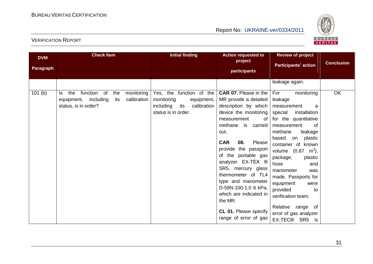

| <b>DVM</b><br>Paragraph | <b>Check Item</b>                                                                                                    | <b>Initial finding</b>                                                                                         | <b>Action requested to</b><br>project<br>participants                                                                                                                                                                                   | <b>Review of project</b><br><b>Participants' action</b>                                                                                                                                                                                                                 | <b>Conclusion</b> |
|-------------------------|----------------------------------------------------------------------------------------------------------------------|----------------------------------------------------------------------------------------------------------------|-----------------------------------------------------------------------------------------------------------------------------------------------------------------------------------------------------------------------------------------|-------------------------------------------------------------------------------------------------------------------------------------------------------------------------------------------------------------------------------------------------------------------------|-------------------|
| 101(b)                  | function of<br>monitoring<br>the<br>the<br>ls.<br>calibration<br>equipment, including<br>its<br>status, is in order? | Yes, the function of the<br>monitoring<br>equipment,<br>including<br>calibration<br>its<br>status is in order. | <b>CAR 07.</b> Please in the<br>MR provide a detailed<br>description by which<br>device the monitoring<br>of<br>measurement<br>methane is carried<br>out.<br><b>CAR</b><br>08.<br>Please<br>provide the passport<br>of the portable gas | leakage again.<br>For<br>monitoring<br>leakage<br>measurement<br>a<br>special<br>installation<br>for the quantitative<br>measurement<br>of<br>methane<br>leakage<br>based on<br>plastic<br>container of known<br>volume $(0.87 \, \text{m}^3)$ ,<br>package,<br>plastic | OK                |
|                         |                                                                                                                      |                                                                                                                | analyzer EX-TEX ®<br>SR5, mercury glass<br>thermometer of TL4<br>type and manometer<br>D-59N-100-1.0 6 kPa,<br>which are indicated in<br>the MR.<br>CL 01. Please specify<br>range of error of gas                                      | hose<br>and<br>manometer<br>was<br>made. Passports for<br>equipment<br>were<br>provided<br>to<br>verification team.<br>Relative range of<br>error of gas analyzer<br>EX-TEC® SR5 is                                                                                     |                   |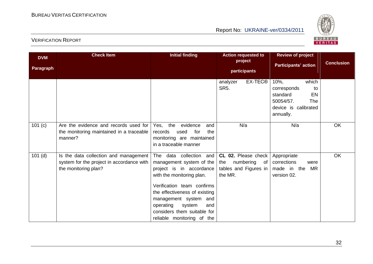

| <b>DVM</b><br>Paragraph | <b>Check Item</b>                                                                                          | <b>Initial finding</b>                                                                                                                                                                                                                                                                          | <b>Action requested to</b><br>project<br>participants                          | <b>Review of project</b><br><b>Participants' action</b>                                                          | <b>Conclusion</b> |
|-------------------------|------------------------------------------------------------------------------------------------------------|-------------------------------------------------------------------------------------------------------------------------------------------------------------------------------------------------------------------------------------------------------------------------------------------------|--------------------------------------------------------------------------------|------------------------------------------------------------------------------------------------------------------|-------------------|
|                         |                                                                                                            |                                                                                                                                                                                                                                                                                                 | EX-TEC®<br>analyzer<br><b>SR5.</b>                                             | which<br>$10%$ ,<br>corresponds<br>to<br>EN<br>standard<br>50054/57.<br>The<br>device is calibrated<br>annually. |                   |
| 101 (c)                 | Are the evidence and records used for<br>the monitoring maintained in a traceable<br>manner?               | evidence<br>Yes, the<br>and<br>records<br>for<br>the<br>used<br>monitoring are maintained<br>in a traceable manner                                                                                                                                                                              | N/a                                                                            | N/a                                                                                                              | OK                |
| $101$ (d)               | Is the data collection and management<br>system for the project in accordance with<br>the monitoring plan? | The data collection and<br>management system of the<br>project is in accordance<br>with the monitoring plan.<br>Verification team confirms<br>the effectiveness of existing<br>management system and<br>operating<br>system<br>and<br>considers them suitable for<br>reliable monitoring of the | CL 02. Please check<br>numbering of<br>the<br>tables and Figures in<br>the MR. | Appropriate<br>corrections<br>were<br>made in the<br><b>MR</b><br>version 02.                                    | OK                |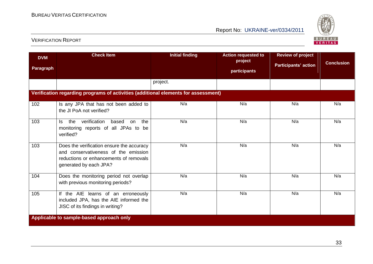

| <b>DVM</b> | <b>Check Item</b>                                                                                                                                     | <b>Initial finding</b> | <b>Action requested to</b><br>project | <b>Review of project</b><br><b>Participants' action</b> | <b>Conclusion</b> |
|------------|-------------------------------------------------------------------------------------------------------------------------------------------------------|------------------------|---------------------------------------|---------------------------------------------------------|-------------------|
| Paragraph  |                                                                                                                                                       |                        | participants                          |                                                         |                   |
|            |                                                                                                                                                       | project.               |                                       |                                                         |                   |
|            | Verification regarding programs of activities (additional elements for assessment)                                                                    |                        |                                       |                                                         |                   |
| 102        | Is any JPA that has not been added to<br>the JI PoA not verified?                                                                                     | N/a                    | N/a                                   | N/a                                                     | N/a               |
| 103        | verification<br>the<br>based<br>the<br>ls.<br>on<br>monitoring reports of all JPAs to be<br>verified?                                                 | N/a                    | N/a                                   | N/a                                                     | N/a               |
| 103        | Does the verification ensure the accuracy<br>and conservativeness of the emission<br>reductions or enhancements of removals<br>generated by each JPA? | N/a                    | N/a                                   | N/a                                                     | N/a               |
| 104        | Does the monitoring period not overlap<br>with previous monitoring periods?                                                                           | N/a                    | N/a                                   | N/a                                                     | N/a               |
| 105        | If the AIE learns of an erroneously<br>included JPA, has the AIE informed the<br>JISC of its findings in writing?                                     | N/a                    | N/a                                   | N/a                                                     | N/a               |
|            | Applicable to sample-based approach only                                                                                                              |                        |                                       |                                                         |                   |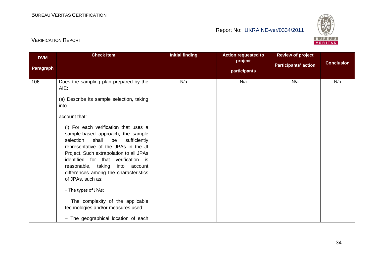

| <b>DVM</b><br>Paragraph | <b>Check Item</b>                                                                                                                                                                                                                                                                                                                                                                                                                                                                                                                                                                   | <b>Initial finding</b> | <b>Action requested to</b><br>project<br>participants | <b>Review of project</b><br><b>Participants' action</b> | <b>Conclusion</b> |
|-------------------------|-------------------------------------------------------------------------------------------------------------------------------------------------------------------------------------------------------------------------------------------------------------------------------------------------------------------------------------------------------------------------------------------------------------------------------------------------------------------------------------------------------------------------------------------------------------------------------------|------------------------|-------------------------------------------------------|---------------------------------------------------------|-------------------|
| 106                     | Does the sampling plan prepared by the<br>AIE:<br>(a) Describe its sample selection, taking<br>into<br>account that:<br>(i) For each verification that uses a<br>sample-based approach, the sample<br>selection<br>shall<br>sufficiently<br>be<br>representative of the JPAs in the JI<br>Project. Such extrapolation to all JPAs<br>identified for that verification is<br>reasonable, taking<br>into<br>account<br>differences among the characteristics<br>of JPAs, such as:<br>- The types of JPAs;<br>- The complexity of the applicable<br>technologies and/or measures used; | N/a                    | N/a                                                   | N/a                                                     | N/a               |
|                         | - The geographical location of each                                                                                                                                                                                                                                                                                                                                                                                                                                                                                                                                                 |                        |                                                       |                                                         |                   |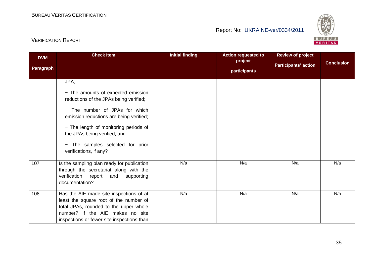

| <b>DVM</b><br><b>Paragraph</b> | <b>Check Item</b>                                                                                                                                                                                                                                                                                        | <b>Initial finding</b> | <b>Action requested to</b><br>project<br>participants | <b>Review of project</b><br><b>Participants' action</b> | <b>Conclusion</b> |
|--------------------------------|----------------------------------------------------------------------------------------------------------------------------------------------------------------------------------------------------------------------------------------------------------------------------------------------------------|------------------------|-------------------------------------------------------|---------------------------------------------------------|-------------------|
|                                | JPA;<br>- The amounts of expected emission<br>reductions of the JPAs being verified;<br>- The number of JPAs for which<br>emission reductions are being verified;<br>- The length of monitoring periods of<br>the JPAs being verified; and<br>- The samples selected for prior<br>verifications, if any? |                        |                                                       |                                                         |                   |
| 107                            | Is the sampling plan ready for publication<br>through the secretariat along with the<br>verification<br>report<br>and<br>supporting<br>documentation?                                                                                                                                                    | N/a                    | N/a                                                   | N/a                                                     | N/a               |
| 108                            | Has the AIE made site inspections of at<br>least the square root of the number of<br>total JPAs, rounded to the upper whole<br>number? If the AIE makes no site<br>inspections or fewer site inspections than                                                                                            | N/a                    | N/a                                                   | N/a                                                     | N/a               |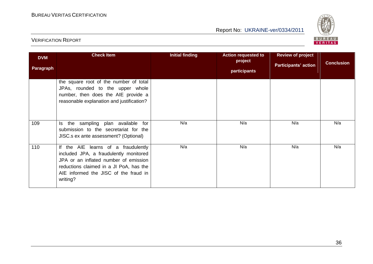

| <b>DVM</b><br>Paragraph | <b>Check Item</b>                                                                                                                                                                                                      | <b>Initial finding</b> | <b>Action requested to</b><br>project<br>participants | <b>Review of project</b><br><b>Participants' action</b> | <b>Conclusion</b> |
|-------------------------|------------------------------------------------------------------------------------------------------------------------------------------------------------------------------------------------------------------------|------------------------|-------------------------------------------------------|---------------------------------------------------------|-------------------|
|                         | the square root of the number of total<br>JPAs, rounded to the upper whole<br>number, then does the AIE provide a<br>reasonable explanation and justification?                                                         |                        |                                                       |                                                         |                   |
| 109                     | Is the sampling plan available for<br>submission to the secretariat for the<br>JISC.s ex ante assessment? (Optional)                                                                                                   | N/a                    | N/a                                                   | N/a                                                     | N/a               |
| 110                     | If the AIE learns of a fraudulently<br>included JPA, a fraudulently monitored<br>JPA or an inflated number of emission<br>reductions claimed in a JI PoA, has the<br>AIE informed the JISC of the fraud in<br>writing? | N/a                    | N/a                                                   | N/a                                                     | N/a               |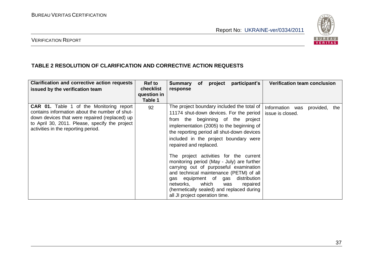

#### VERIFICATION REPORT

#### **TABLE 2 RESOLUTION OF CLARIFICATION AND CORRECTIVE ACTION REQUESTS**

| <b>Clarification and corrective action requests</b><br>issued by the verification team                                                                                                                                                      | Ref to<br>checklist<br>question in<br>Table 1 | <b>Verification team conclusion</b><br>participant's<br>project<br><b>Summary</b><br>of<br>response                                                                                                                                                                                                                                                                                                                                                                                                                                                                                                                                                                                           |
|---------------------------------------------------------------------------------------------------------------------------------------------------------------------------------------------------------------------------------------------|-----------------------------------------------|-----------------------------------------------------------------------------------------------------------------------------------------------------------------------------------------------------------------------------------------------------------------------------------------------------------------------------------------------------------------------------------------------------------------------------------------------------------------------------------------------------------------------------------------------------------------------------------------------------------------------------------------------------------------------------------------------|
| <b>CAR 01.</b> Table 1 of the Monitoring report<br>contains information about the number of shut-<br>down devices that were repaired (replaced) up<br>to April 30, 2011. Please, specify the project<br>activities in the reporting period. | 92                                            | The project boundary included the total of<br>Information was<br>provided, the<br>11174 shut-down devices. For the period<br>issue is closed.<br>from the beginning of the project<br>implementation (2005) to the beginning of<br>the reporting period all shut-down devices<br>included in the project boundary were<br>repaired and replaced.<br>The project activities for the current<br>monitoring period (May - July) are further<br>carrying out of purposeful examination<br>and technical maintenance (PETM) of all<br>gas equipment of gas<br>distribution<br>which<br>networks,<br>repaired<br>was<br>(hermetically sealed) and replaced during<br>all JI project operation time. |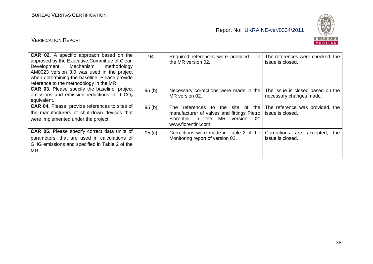

| <b>CAR 02.</b> A specific approach based on the<br>approved by the Executive Committee of Clean<br>Development Mechanism<br>methodology<br>AM0023 version 3.0 was used in the project<br>when determining the baseline. Please provide<br>reference to the methodology in the MR. | 94    | Required references were provided<br>in I<br>the MR version 02.                                                                                        | The references were checked, the<br>issue is closed.        |
|-----------------------------------------------------------------------------------------------------------------------------------------------------------------------------------------------------------------------------------------------------------------------------------|-------|--------------------------------------------------------------------------------------------------------------------------------------------------------|-------------------------------------------------------------|
| <b>CAR 03.</b> Please specify the baseline, project<br>emissions and emission reductions in $t CO2$<br>equivalent.                                                                                                                                                                | 95(b) | Necessary corrections were made in the<br>MR version 02.                                                                                               | The issue is closed based on the<br>necessary changes made. |
| <b>CAR 04.</b> Please, provide references to sites of<br>the manufacturers of shut-down devices that<br>were implemented under the project.                                                                                                                                       | 95(b) | references to the site of the<br>The.<br>manufacturer of valves and fittings Pietro<br>MR<br>Fiorentini in the<br>02:<br>version<br>www.fiorentini.com | The reference was provided, the<br>issue is closed.         |
| <b>CAR 05.</b> Please specify correct data units of<br>parameters, that are used in calculations of<br>GHG emissions and specified in Table 2 of the<br>MR.                                                                                                                       | 95(c) | Corrections were made in Table 2 of the<br>Monitoring report of version 02.                                                                            | Corrections are<br>accepted,<br>the<br>issue is closed.     |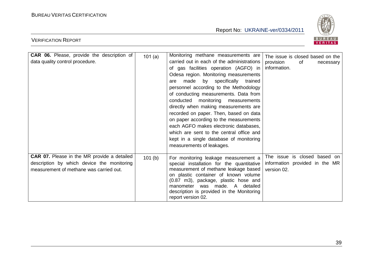

| <b>CAR 06.</b> Please, provide the description of<br>data quality control procedure.                                                        | 101(a) | Monitoring methane measurements are<br>carried out in each of the administrations<br>of gas facilities operation (AGFO) in<br>Odesa region. Monitoring measurements<br>made by specifically trained<br>are<br>personnel according to the Methodology<br>of conducting measurements. Data from<br>conducted monitoring measurements<br>directly when making measurements are<br>recorded on paper. Then, based on data<br>on paper according to the measurements<br>each AGFO makes electronic databases,<br>which are sent to the central office and<br>kept in a single database of monitoring<br>measurements of leakages. | The issue is closed based on the<br>provision<br>of<br>necessary<br>information. |
|---------------------------------------------------------------------------------------------------------------------------------------------|--------|------------------------------------------------------------------------------------------------------------------------------------------------------------------------------------------------------------------------------------------------------------------------------------------------------------------------------------------------------------------------------------------------------------------------------------------------------------------------------------------------------------------------------------------------------------------------------------------------------------------------------|----------------------------------------------------------------------------------|
| <b>CAR 07.</b> Please in the MR provide a detailed<br>description by which device the monitoring<br>measurement of methane was carried out. | 101(b) | For monitoring leakage measurement a<br>special installation for the quantitative<br>measurement of methane leakage based<br>on plastic container of known volume<br>(0.87 m3), package, plastic hose and<br>was made. A detailed<br>manometer<br>description is provided in the Monitoring<br>report version 02.                                                                                                                                                                                                                                                                                                            | The issue is closed based on<br>information provided in the MR<br>version 02.    |